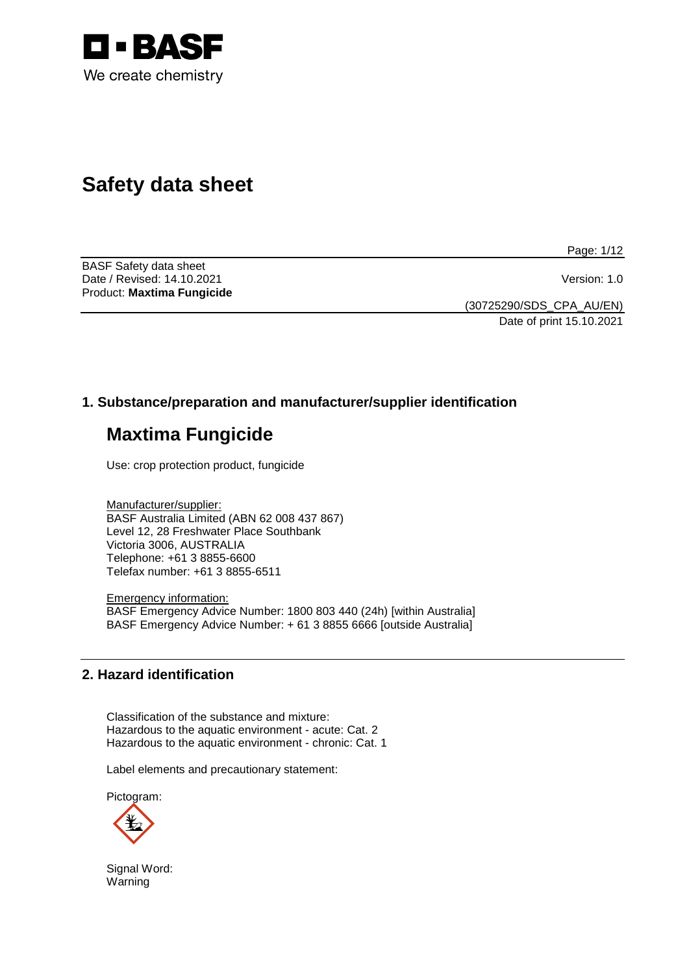

# **Safety data sheet**

Page: 1/12

BASF Safety data sheet Date / Revised: 14.10.2021 Version: 1.0 Product: **Maxtima Fungicide**

(30725290/SDS\_CPA\_AU/EN) Date of print 15.10.2021

# **1. Substance/preparation and manufacturer/supplier identification**

# **Maxtima Fungicide**

Use: crop protection product, fungicide

Manufacturer/supplier: BASF Australia Limited (ABN 62 008 437 867) Level 12, 28 Freshwater Place Southbank Victoria 3006, AUSTRALIA Telephone: +61 3 8855-6600 Telefax number: +61 3 8855-6511

Emergency information: BASF Emergency Advice Number: 1800 803 440 (24h) [within Australia] BASF Emergency Advice Number: + 61 3 8855 6666 [outside Australia]

# **2. Hazard identification**

Classification of the substance and mixture: Hazardous to the aquatic environment - acute: Cat. 2 Hazardous to the aquatic environment - chronic: Cat. 1

Label elements and precautionary statement:

Pictogram:



Signal Word: Warning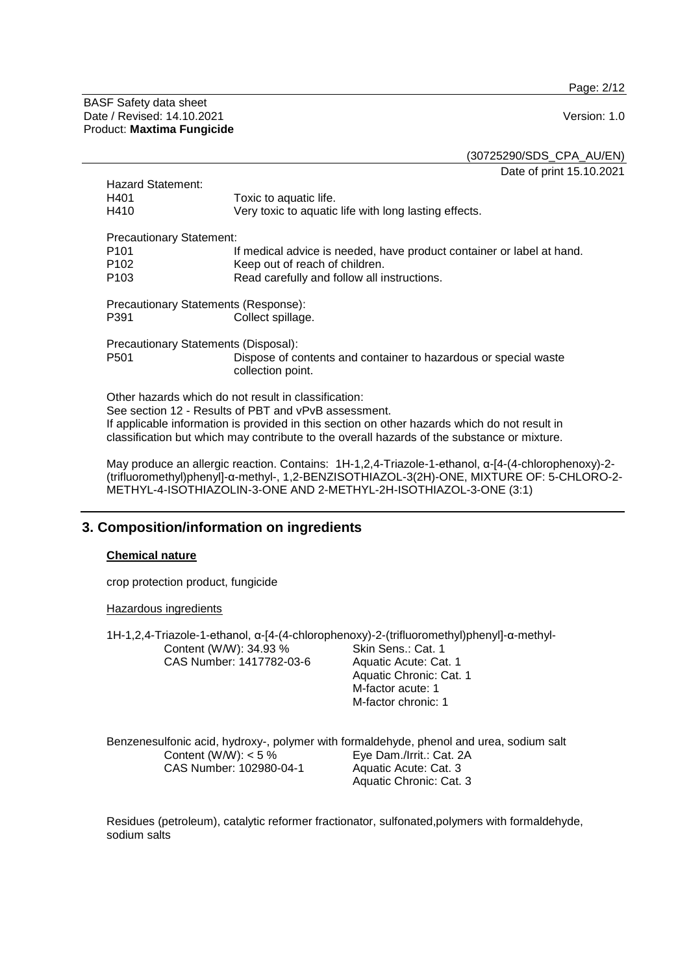Page: 2/12

BASF Safety data sheet Date / Revised: 14.10.2021 **Version: 1.0** Product: **Maxtima Fungicide**

(30725290/SDS\_CPA\_AU/EN) Date of print 15.10.2021

Hazard Statement:<br>H401 H401 Toxic to aquatic life.<br>
H410 Terv toxic to aquatic Very toxic to aquatic life with long lasting effects. Precautionary Statement:<br><sup>It</sup> P101 If medical advice is needed, have product container or label at hand.<br>P102 Seep out of reach of children. P102 Keep out of reach of children.<br>P103 Read carefully and follow all in Read carefully and follow all instructions. Precautionary Statements (Response): Collect spillage. Precautionary Statements (Disposal): Dispose of contents and container to hazardous or special waste collection point.

Other hazards which do not result in classification: See section 12 - Results of PBT and vPvB assessment. If applicable information is provided in this section on other hazards which do not result in classification but which may contribute to the overall hazards of the substance or mixture.

May produce an allergic reaction. Contains: 1H-1,2,4-Triazole-1-ethanol, α-[4-(4-chlorophenoxy)-2- (trifluoromethyl)phenyl]-α-methyl-, 1,2-BENZISOTHIAZOL-3(2H)-ONE, MIXTURE OF: 5-CHLORO-2- METHYL-4-ISOTHIAZOLIN-3-ONE AND 2-METHYL-2H-ISOTHIAZOL-3-ONE (3:1)

# **3. Composition/information on ingredients**

#### **Chemical nature**

crop protection product, fungicide

Hazardous ingredients

| 1H-1,2,4-Triazole-1-ethanol, α-[4-(4-chlorophenoxy)-2-(trifluoromethyl)phenyl]-α-methyl- |                                                                                         |
|------------------------------------------------------------------------------------------|-----------------------------------------------------------------------------------------|
| Content (W/W): 34.93 %                                                                   | Skin Sens.: Cat. 1                                                                      |
| CAS Number: 1417782-03-6                                                                 | Aquatic Acute: Cat. 1                                                                   |
|                                                                                          | Aquatic Chronic: Cat. 1                                                                 |
|                                                                                          | M-factor acute: 1                                                                       |
|                                                                                          | M-factor chronic: 1                                                                     |
|                                                                                          |                                                                                         |
|                                                                                          | Benzenesulfonic acid, hydroxy-, polymer with formaldehyde, phenol and urea, sodium salt |
| Content (W/W): $<$ 5 %                                                                   | Eye Dam./Irrit.: Cat. 2A                                                                |
| CAS Number: 102980-04-1                                                                  | Aquatic Acute: Cat. 3                                                                   |

Residues (petroleum), catalytic reformer fractionator, sulfonated,polymers with formaldehyde, sodium salts

Aquatic Chronic: Cat. 3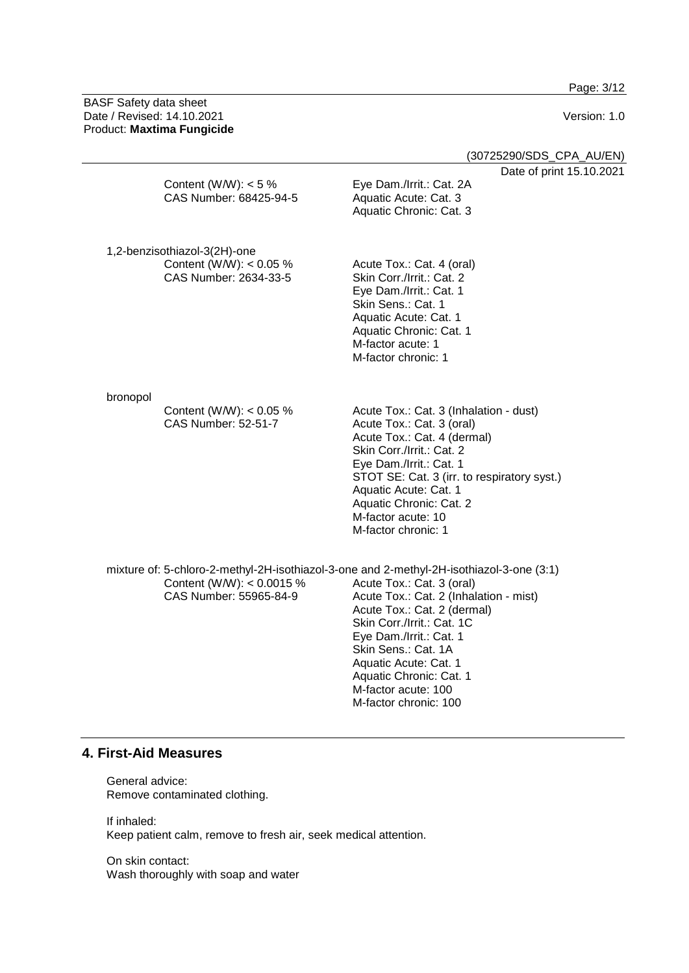Page: 3/12

BASF Safety data sheet Date / Revised: 14.10.2021 Version: 1.0 Product: **Maxtima Fungicide**

|          |                                                                                    | (30725290/SDS_CPA_AU/EN)                                                                                                                                                                                                                                                                                                                                  |
|----------|------------------------------------------------------------------------------------|-----------------------------------------------------------------------------------------------------------------------------------------------------------------------------------------------------------------------------------------------------------------------------------------------------------------------------------------------------------|
|          | Content (W/W): $<$ 5 %<br>CAS Number: 68425-94-5                                   | Date of print 15.10.2021<br>Eye Dam./Irrit.: Cat. 2A<br>Aquatic Acute: Cat. 3<br>Aquatic Chronic: Cat. 3                                                                                                                                                                                                                                                  |
|          | 1,2-benzisothiazol-3(2H)-one<br>Content (W/W): $< 0.05$ %<br>CAS Number: 2634-33-5 | Acute Tox.: Cat. 4 (oral)<br>Skin Corr./Irrit.: Cat. 2<br>Eye Dam./Irrit.: Cat. 1<br>Skin Sens.: Cat. 1<br>Aquatic Acute: Cat. 1<br>Aquatic Chronic: Cat. 1<br>M-factor acute: 1<br>M-factor chronic: 1                                                                                                                                                   |
| bronopol | Content (W/W): < 0.05 %<br><b>CAS Number: 52-51-7</b>                              | Acute Tox.: Cat. 3 (Inhalation - dust)<br>Acute Tox.: Cat. 3 (oral)<br>Acute Tox.: Cat. 4 (dermal)<br>Skin Corr./Irrit.: Cat. 2<br>Eye Dam./Irrit.: Cat. 1<br>STOT SE: Cat. 3 (irr. to respiratory syst.)<br>Aquatic Acute: Cat. 1<br>Aquatic Chronic: Cat. 2<br>M-factor acute: 10<br>M-factor chronic: 1                                                |
|          | Content (W/W): < 0.0015 %<br>CAS Number: 55965-84-9                                | mixture of: 5-chloro-2-methyl-2H-isothiazol-3-one and 2-methyl-2H-isothiazol-3-one (3:1)<br>Acute Tox.: Cat. 3 (oral)<br>Acute Tox.: Cat. 2 (Inhalation - mist)<br>Acute Tox.: Cat. 2 (dermal)<br>Skin Corr./Irrit.: Cat. 1C<br>Eye Dam./Irrit.: Cat. 1<br>Skin Sens.: Cat. 1A<br>Aquatic Acute: Cat. 1<br>Aquatic Chronic: Cat. 1<br>M-factor acute: 100 |

M-factor chronic: 100

# **4. First-Aid Measures**

General advice: Remove contaminated clothing.

If inhaled: Keep patient calm, remove to fresh air, seek medical attention.

On skin contact: Wash thoroughly with soap and water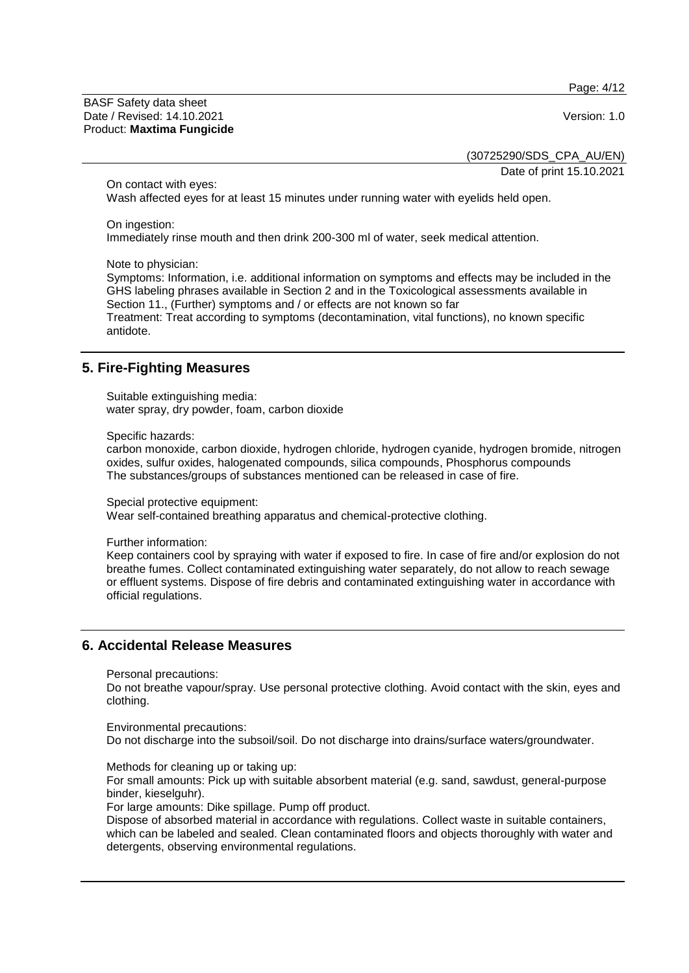Page: 4/12

BASF Safety data sheet Date / Revised: 14.10.2021 Version: 1.0 Product: **Maxtima Fungicide**

(30725290/SDS\_CPA\_AU/EN)

Date of print 15.10.2021

On contact with eyes:

Wash affected eyes for at least 15 minutes under running water with eyelids held open.

On ingestion:

Immediately rinse mouth and then drink 200-300 ml of water, seek medical attention.

Note to physician:

Symptoms: Information, i.e. additional information on symptoms and effects may be included in the GHS labeling phrases available in Section 2 and in the Toxicological assessments available in Section 11., (Further) symptoms and / or effects are not known so far Treatment: Treat according to symptoms (decontamination, vital functions), no known specific antidote.

# **5. Fire-Fighting Measures**

Suitable extinguishing media: water spray, dry powder, foam, carbon dioxide

Specific hazards:

carbon monoxide, carbon dioxide, hydrogen chloride, hydrogen cyanide, hydrogen bromide, nitrogen oxides, sulfur oxides, halogenated compounds, silica compounds, Phosphorus compounds The substances/groups of substances mentioned can be released in case of fire.

Special protective equipment:

Wear self-contained breathing apparatus and chemical-protective clothing.

Further information:

Keep containers cool by spraying with water if exposed to fire. In case of fire and/or explosion do not breathe fumes. Collect contaminated extinguishing water separately, do not allow to reach sewage or effluent systems. Dispose of fire debris and contaminated extinguishing water in accordance with official regulations.

#### **6. Accidental Release Measures**

Personal precautions:

Do not breathe vapour/spray. Use personal protective clothing. Avoid contact with the skin, eyes and clothing.

Environmental precautions: Do not discharge into the subsoil/soil. Do not discharge into drains/surface waters/groundwater.

Methods for cleaning up or taking up:

For small amounts: Pick up with suitable absorbent material (e.g. sand, sawdust, general-purpose binder, kieselguhr).

For large amounts: Dike spillage. Pump off product.

Dispose of absorbed material in accordance with regulations. Collect waste in suitable containers, which can be labeled and sealed. Clean contaminated floors and objects thoroughly with water and detergents, observing environmental regulations.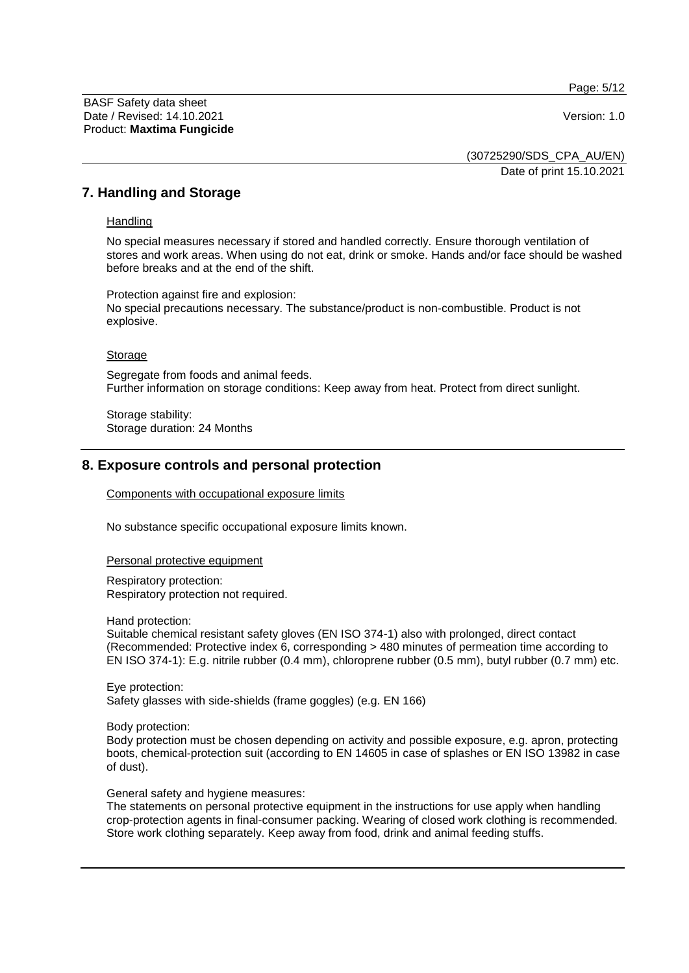Page: 5/12

BASF Safety data sheet Date / Revised: 14.10.2021 Version: 1.0 Product: **Maxtima Fungicide**

(30725290/SDS\_CPA\_AU/EN) Date of print 15.10.2021

**7. Handling and Storage**

**Handling** 

No special measures necessary if stored and handled correctly. Ensure thorough ventilation of stores and work areas. When using do not eat, drink or smoke. Hands and/or face should be washed before breaks and at the end of the shift.

Protection against fire and explosion: No special precautions necessary. The substance/product is non-combustible. Product is not explosive.

**Storage** 

Segregate from foods and animal feeds. Further information on storage conditions: Keep away from heat. Protect from direct sunlight.

Storage stability: Storage duration: 24 Months

### **8. Exposure controls and personal protection**

Components with occupational exposure limits

No substance specific occupational exposure limits known.

Personal protective equipment

Respiratory protection: Respiratory protection not required.

Hand protection:

Suitable chemical resistant safety gloves (EN ISO 374-1) also with prolonged, direct contact (Recommended: Protective index 6, corresponding > 480 minutes of permeation time according to EN ISO 374-1): E.g. nitrile rubber (0.4 mm), chloroprene rubber (0.5 mm), butyl rubber (0.7 mm) etc.

Eye protection: Safety glasses with side-shields (frame goggles) (e.g. EN 166)

Body protection:

Body protection must be chosen depending on activity and possible exposure, e.g. apron, protecting boots, chemical-protection suit (according to EN 14605 in case of splashes or EN ISO 13982 in case of dust).

General safety and hygiene measures:

The statements on personal protective equipment in the instructions for use apply when handling crop-protection agents in final-consumer packing. Wearing of closed work clothing is recommended. Store work clothing separately. Keep away from food, drink and animal feeding stuffs.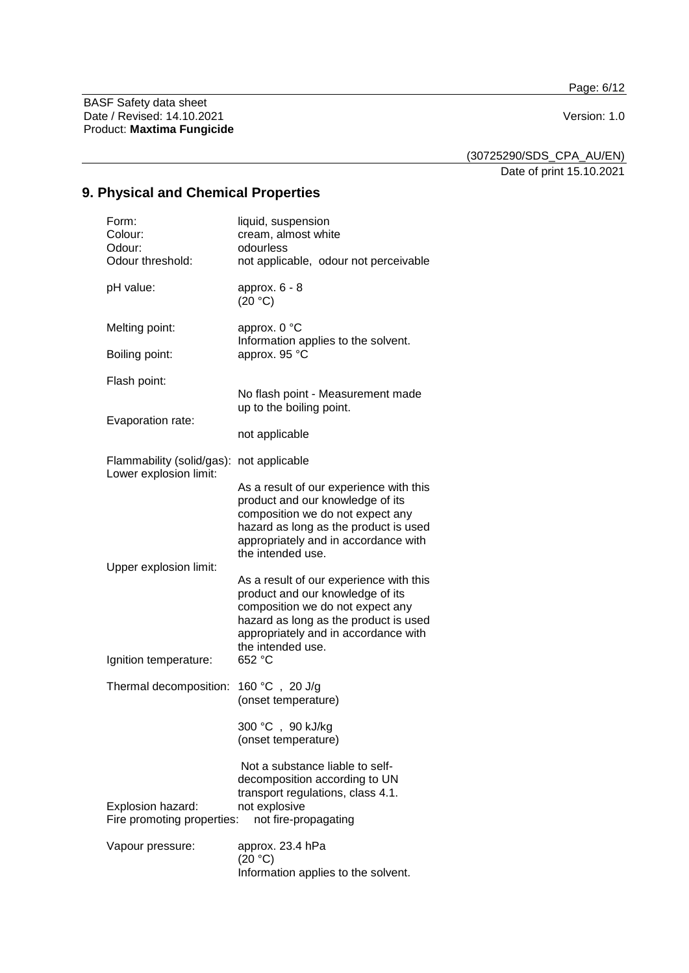Page: 6/12

BASF Safety data sheet Date / Revised: 14.10.2021 Version: 1.0 Product: **Maxtima Fungicide**

(30725290/SDS\_CPA\_AU/EN)

Date of print 15.10.2021

# **9. Physical and Chemical Properties**

| Form:<br>Colour:<br>Odour:<br>Odour threshold:      | liquid, suspension<br>cream, almost white<br>odourless<br>not applicable, odour not perceivable                                                                                                                                 |
|-----------------------------------------------------|---------------------------------------------------------------------------------------------------------------------------------------------------------------------------------------------------------------------------------|
| pH value:                                           | approx. $6 - 8$<br>(20 °C)                                                                                                                                                                                                      |
| Melting point:<br>Boiling point:                    | approx. 0 °C<br>Information applies to the solvent.<br>approx. 95 °C                                                                                                                                                            |
|                                                     |                                                                                                                                                                                                                                 |
| Flash point:<br>Evaporation rate:                   | No flash point - Measurement made<br>up to the boiling point.                                                                                                                                                                   |
|                                                     | not applicable                                                                                                                                                                                                                  |
| Flammability (solid/gas):<br>Lower explosion limit: | not applicable                                                                                                                                                                                                                  |
|                                                     | As a result of our experience with this<br>product and our knowledge of its<br>composition we do not expect any<br>hazard as long as the product is used<br>appropriately and in accordance with<br>the intended use.           |
| Upper explosion limit:<br>Ignition temperature:     | As a result of our experience with this<br>product and our knowledge of its<br>composition we do not expect any<br>hazard as long as the product is used<br>appropriately and in accordance with<br>the intended use.<br>652 °C |
| Thermal decomposition:                              | 160 °C, 20 J/g                                                                                                                                                                                                                  |
|                                                     | (onset temperature)                                                                                                                                                                                                             |
|                                                     | 300 °C, 90 kJ/kg<br>(onset temperature)                                                                                                                                                                                         |
| Explosion hazard:<br>Fire promoting properties:     | Not a substance liable to self-<br>decomposition according to UN<br>transport regulations, class 4.1.<br>not explosive<br>not fire-propagating                                                                                  |
| Vapour pressure:                                    | approx. 23.4 hPa<br>(20 °C)<br>Information applies to the solvent.                                                                                                                                                              |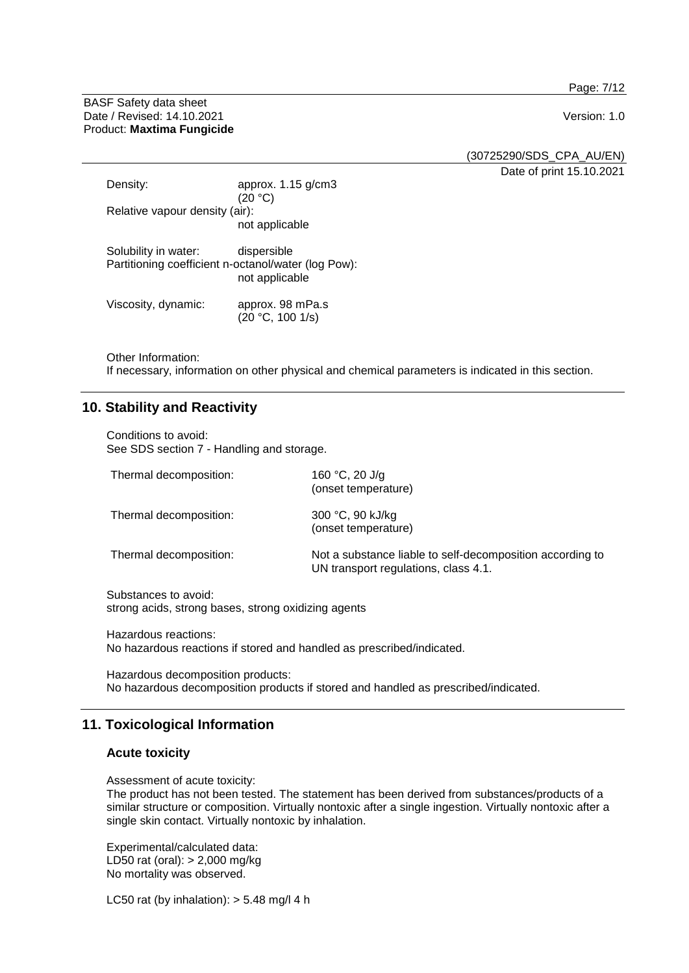Page: 7/12

BASF Safety data sheet Date / Revised: 14.10.2021 **Version: 1.0** Product: **Maxtima Fungicide**

(30725290/SDS\_CPA\_AU/EN)

Date of print 15.10.2021

| Density:                       | approx. $1.15$ g/cm3<br>(20 °C)                                                      |
|--------------------------------|--------------------------------------------------------------------------------------|
| Relative vapour density (air): |                                                                                      |
|                                | not applicable                                                                       |
| Solubility in water:           | dispersible<br>Partitioning coefficient n-octanol/water (log Pow):<br>not applicable |
| Viscosity, dynamic:            | approx. 98 mPa.s<br>(20 °C, 100 1/s)                                                 |

Other Information:

If necessary, information on other physical and chemical parameters is indicated in this section.

# **10. Stability and Reactivity**

Conditions to avoid: See SDS section 7 - Handling and storage.

| Thermal decomposition: | 160 °C, 20 J/g<br>(onset temperature)                                                             |
|------------------------|---------------------------------------------------------------------------------------------------|
| Thermal decomposition: | 300 °C, 90 kJ/kg<br>(onset temperature)                                                           |
| Thermal decomposition: | Not a substance liable to self-decomposition according to<br>UN transport regulations, class 4.1. |

Substances to avoid: strong acids, strong bases, strong oxidizing agents

Hazardous reactions: No hazardous reactions if stored and handled as prescribed/indicated.

Hazardous decomposition products: No hazardous decomposition products if stored and handled as prescribed/indicated.

# **11. Toxicological Information**

### **Acute toxicity**

Assessment of acute toxicity:

The product has not been tested. The statement has been derived from substances/products of a similar structure or composition. Virtually nontoxic after a single ingestion. Virtually nontoxic after a single skin contact. Virtually nontoxic by inhalation.

Experimental/calculated data: LD50 rat (oral): > 2,000 mg/kg No mortality was observed.

LC50 rat (by inhalation):  $> 5.48$  mg/l 4 h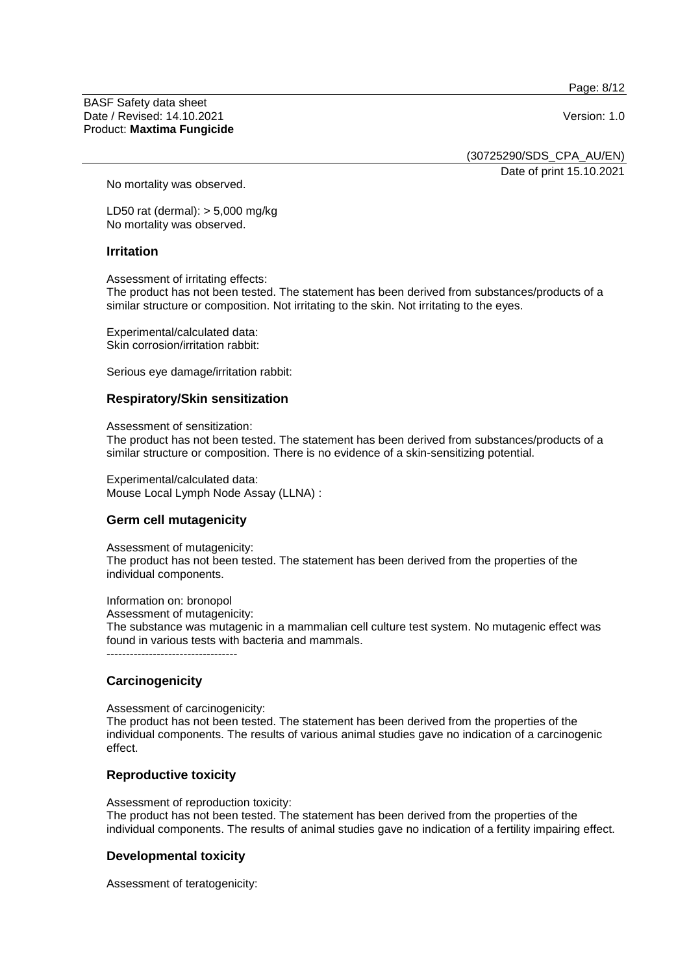Page: 8/12

BASF Safety data sheet Date / Revised: 14.10.2021 **Version: 1.0** Product: **Maxtima Fungicide**

(30725290/SDS\_CPA\_AU/EN)

Date of print 15.10.2021

No mortality was observed.

LD50 rat (dermal): > 5,000 mg/kg No mortality was observed.

#### **Irritation**

Assessment of irritating effects:

The product has not been tested. The statement has been derived from substances/products of a similar structure or composition. Not irritating to the skin. Not irritating to the eyes.

Experimental/calculated data: Skin corrosion/irritation rabbit:

Serious eye damage/irritation rabbit:

#### **Respiratory/Skin sensitization**

Assessment of sensitization:

The product has not been tested. The statement has been derived from substances/products of a similar structure or composition. There is no evidence of a skin-sensitizing potential.

Experimental/calculated data: Mouse Local Lymph Node Assay (LLNA) :

# **Germ cell mutagenicity**

Assessment of mutagenicity: The product has not been tested. The statement has been derived from the properties of the individual components.

Information on: bronopol Assessment of mutagenicity: The substance was mutagenic in a mammalian cell culture test system. No mutagenic effect was found in various tests with bacteria and mammals. ----------------------------------

#### **Carcinogenicity**

Assessment of carcinogenicity:

The product has not been tested. The statement has been derived from the properties of the individual components. The results of various animal studies gave no indication of a carcinogenic effect.

#### **Reproductive toxicity**

Assessment of reproduction toxicity: The product has not been tested. The statement has been derived from the properties of the individual components. The results of animal studies gave no indication of a fertility impairing effect.

#### **Developmental toxicity**

Assessment of teratogenicity: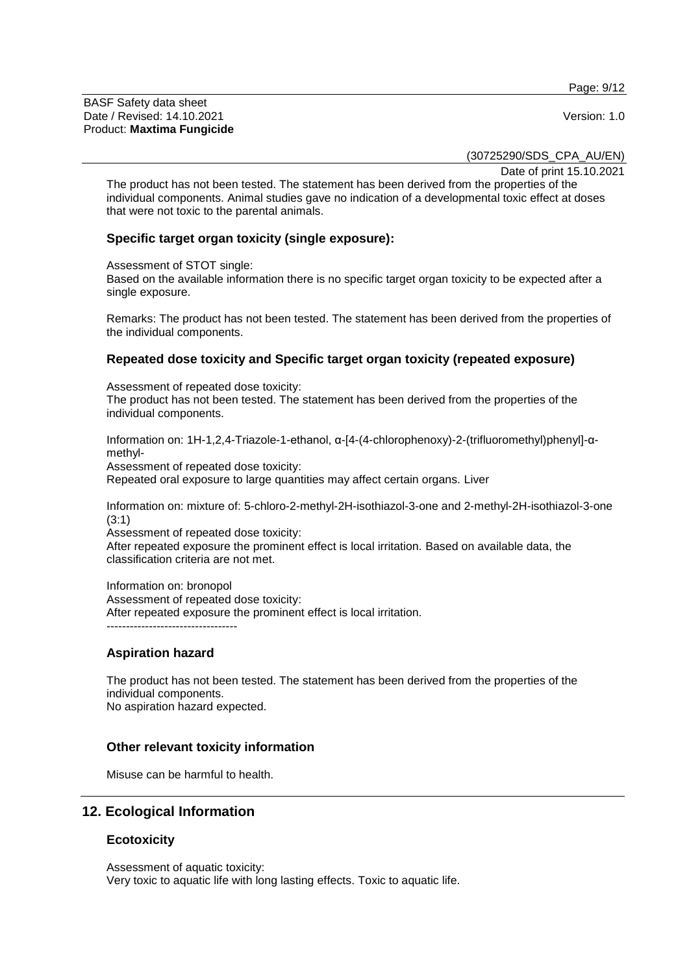Page: 9/12

BASF Safety data sheet Date / Revised: 14.10.2021 Version: 1.0 Product: **Maxtima Fungicide**

(30725290/SDS\_CPA\_AU/EN)

Date of print 15.10.2021

The product has not been tested. The statement has been derived from the properties of the individual components. Animal studies gave no indication of a developmental toxic effect at doses that were not toxic to the parental animals.

#### **Specific target organ toxicity (single exposure):**

Assessment of STOT single:

Based on the available information there is no specific target organ toxicity to be expected after a single exposure.

Remarks: The product has not been tested. The statement has been derived from the properties of the individual components.

#### **Repeated dose toxicity and Specific target organ toxicity (repeated exposure)**

Assessment of repeated dose toxicity:

The product has not been tested. The statement has been derived from the properties of the individual components.

Information on: 1H-1,2,4-Triazole-1-ethanol, α-[4-(4-chlorophenoxy)-2-(trifluoromethyl)phenyl]-αmethyl-

Assessment of repeated dose toxicity:

Repeated oral exposure to large quantities may affect certain organs. Liver

Information on: mixture of: 5-chloro-2-methyl-2H-isothiazol-3-one and 2-methyl-2H-isothiazol-3-one (3:1)

Assessment of repeated dose toxicity:

After repeated exposure the prominent effect is local irritation. Based on available data, the classification criteria are not met.

Information on: bronopol Assessment of repeated dose toxicity: After repeated exposure the prominent effect is local irritation. ----------------------------------

#### **Aspiration hazard**

The product has not been tested. The statement has been derived from the properties of the individual components. No aspiration hazard expected.

#### **Other relevant toxicity information**

Misuse can be harmful to health.

#### **12. Ecological Information**

#### **Ecotoxicity**

Assessment of aquatic toxicity: Very toxic to aquatic life with long lasting effects. Toxic to aquatic life.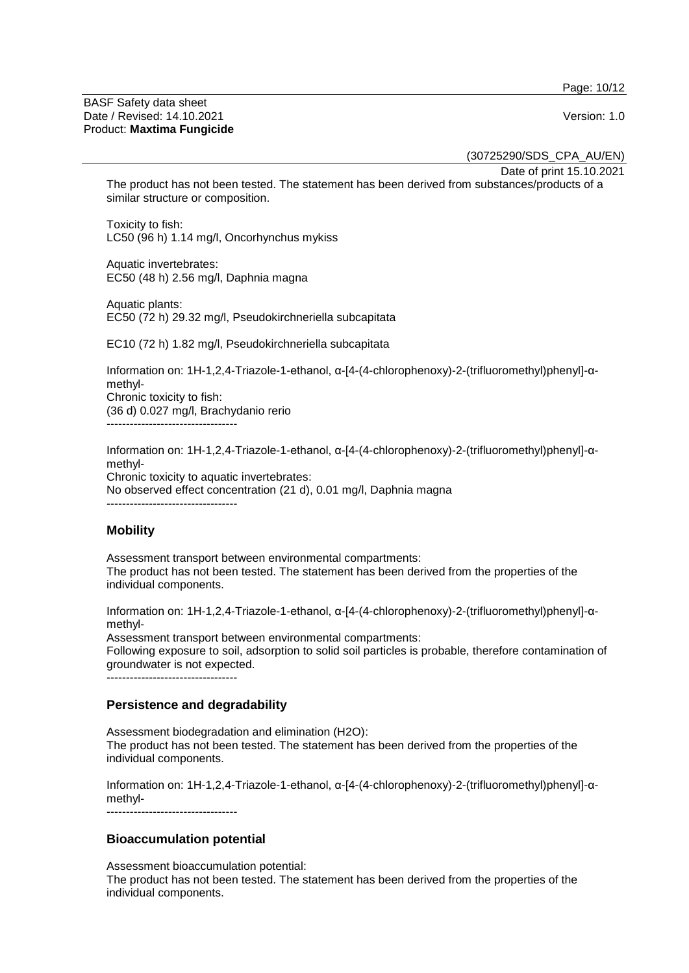Page: 10/12

#### BASF Safety data sheet Date / Revised: 14.10.2021 **Version: 1.0** Product: **Maxtima Fungicide**

(30725290/SDS\_CPA\_AU/EN)

Date of print 15.10.2021

The product has not been tested. The statement has been derived from substances/products of a similar structure or composition.

Toxicity to fish: LC50 (96 h) 1.14 mg/l, Oncorhynchus mykiss

Aquatic invertebrates: EC50 (48 h) 2.56 mg/l, Daphnia magna

Aquatic plants: EC50 (72 h) 29.32 mg/l, Pseudokirchneriella subcapitata

EC10 (72 h) 1.82 mg/l, Pseudokirchneriella subcapitata

Information on: 1H-1,2,4-Triazole-1-ethanol, α-[4-(4-chlorophenoxy)-2-(trifluoromethyl)phenyl]-αmethyl-Chronic toxicity to fish: (36 d) 0.027 mg/l, Brachydanio rerio ----------------------------------

Information on: 1H-1,2,4-Triazole-1-ethanol, α-[4-(4-chlorophenoxy)-2-(trifluoromethyl)phenyl]-αmethyl-Chronic toxicity to aquatic invertebrates: No observed effect concentration (21 d), 0.01 mg/l, Daphnia magna ----------------------------------

# **Mobility**

Assessment transport between environmental compartments: The product has not been tested. The statement has been derived from the properties of the individual components.

Information on: 1H-1,2,4-Triazole-1-ethanol, α-[4-(4-chlorophenoxy)-2-(trifluoromethyl)phenyl]-αmethyl-

Assessment transport between environmental compartments: Following exposure to soil, adsorption to solid soil particles is probable, therefore contamination of groundwater is not expected. ----------------------------------

#### **Persistence and degradability**

Assessment biodegradation and elimination (H2O): The product has not been tested. The statement has been derived from the properties of the individual components.

Information on: 1H-1,2,4-Triazole-1-ethanol, α-[4-(4-chlorophenoxy)-2-(trifluoromethyl)phenyl]-αmethyl-

----------------------------------

# **Bioaccumulation potential**

Assessment bioaccumulation potential:

The product has not been tested. The statement has been derived from the properties of the individual components.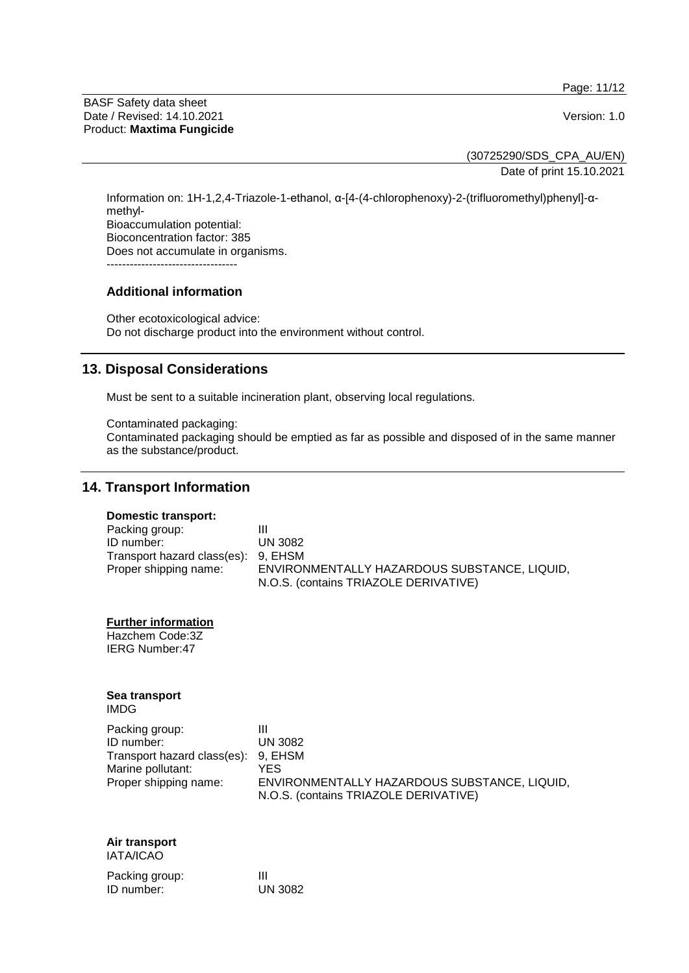Page: 11/12

BASF Safety data sheet Date / Revised: 14.10.2021 **Version: 1.0** Product: **Maxtima Fungicide**

(30725290/SDS\_CPA\_AU/EN) Date of print 15.10.2021

Information on: 1H-1,2,4-Triazole-1-ethanol, α-[4-(4-chlorophenoxy)-2-(trifluoromethyl)phenyl]-αmethyl-Bioaccumulation potential: Bioconcentration factor: 385 Does not accumulate in organisms. ----------------------------------

### **Additional information**

Other ecotoxicological advice: Do not discharge product into the environment without control.

# **13. Disposal Considerations**

Must be sent to a suitable incineration plant, observing local regulations.

Contaminated packaging: Contaminated packaging should be emptied as far as possible and disposed of in the same manner as the substance/product.

#### **14. Transport Information**

#### **Domestic transport:**

| Packing group:                      |                                              |
|-------------------------------------|----------------------------------------------|
| ID number:                          | <b>UN 3082</b>                               |
| Transport hazard class(es): 9, EHSM |                                              |
| Proper shipping name:               | ENVIRONMENTALLY HAZARDOUS SUBSTANCE, LIQUID, |
|                                     | N.O.S. (contains TRIAZOLE DERIVATIVE)        |
|                                     |                                              |

**Further information**

Hazchem Code:3Z IERG Number:47

# **Sea transport**

IMDG

| Packing group:                      |                                              |
|-------------------------------------|----------------------------------------------|
| ID number:                          | UN 3082                                      |
| Transport hazard class(es): 9, EHSM |                                              |
| Marine pollutant:                   | YFS                                          |
| Proper shipping name:               | ENVIRONMENTALLY HAZARDOUS SUBSTANCE, LIQUID, |
|                                     | N.O.S. (contains TRIAZOLE DERIVATIVE)        |

#### **Air transport** IATA/ICAO

| Packing group: | Ш              |
|----------------|----------------|
| ID number:     | <b>UN 3082</b> |